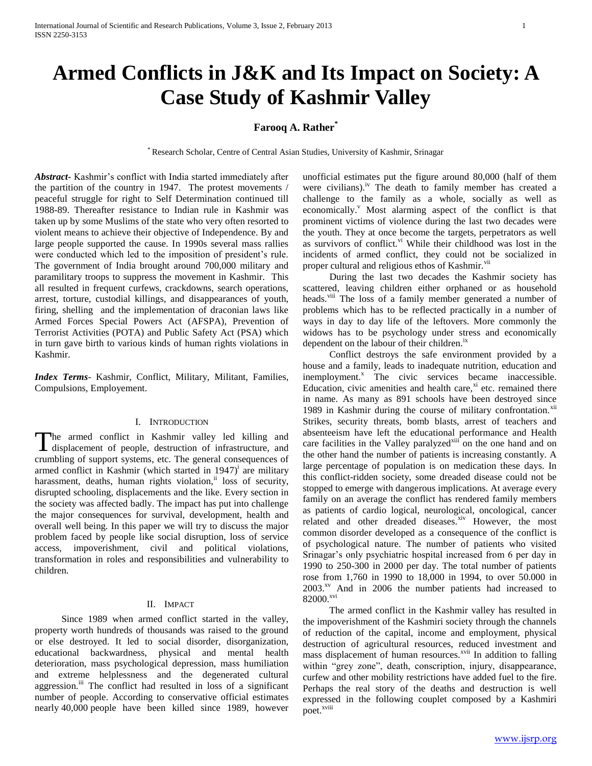# **Armed Conflicts in J&K and Its Impact on Society: A Case Study of Kashmir Valley**

## **Farooq A. Rather\***

\* Research Scholar, Centre of Central Asian Studies, University of Kashmir, Srinagar

*Abstract***-** Kashmir's conflict with India started immediately after the partition of the country in 1947. The protest movements / peaceful struggle for right to Self Determination continued till 1988-89. Thereafter resistance to Indian rule in Kashmir was taken up by some Muslims of the state who very often resorted to violent means to achieve their objective of Independence. By and large people supported the cause. In 1990s several mass rallies were conducted which led to the imposition of president's rule. The government of India brought around 700,000 military and paramilitary troops to suppress the movement in Kashmir. This all resulted in frequent curfews, crackdowns, search operations, arrest, torture, custodial killings, and disappearances of youth, firing, shelling and the implementation of draconian laws like Armed Forces Special Powers Act (AFSPA), Prevention of Terrorist Activities (POTA) and Public Safety Act (PSA) which in turn gave birth to various kinds of human rights violations in Kashmir.

*Index Terms*- Kashmir, Conflict, Military, Militant, Families, Compulsions, Employement.

### I. INTRODUCTION

The armed conflict in Kashmir valley led killing and The armed conflict in Kashmir valley led killing and displacement of people, destruction of infrastructure, and crumbling of support systems, etc. The general consequences of armed conflict in Kashmir (which started in  $1947$ )<sup>i</sup> are military harassment, deaths, human rights violation, ii loss of security, disrupted schooling, displacements and the like. Every section in the society was affected badly. The impact has put into challenge the major consequences for survival, development, health and overall well being. In this paper we will try to discuss the major problem faced by people like social disruption, loss of service access, impoverishment, civil and political violations, transformation in roles and responsibilities and vulnerability to children.

## II. IMPACT

 Since 1989 when armed conflict started in the valley, property worth hundreds of thousands was raised to the ground or else destroyed. It led to social disorder, disorganization, educational backwardness, physical and mental health deterioration, mass psychological depression, mass humiliation and extreme helplessness and the degenerated cultural aggression.<sup>iii</sup> The conflict had resulted in loss of a significant number of people. According to conservative official estimates nearly 40,000 people have been killed since 1989, however unofficial estimates put the figure around 80,000 (half of them were civilians).<sup>iv</sup> The death to family member has created a challenge to the family as a whole, socially as well as economically.<sup>V</sup> Most alarming aspect of the conflict is that prominent victims of violence during the last two decades were the youth. They at once become the targets, perpetrators as well as survivors of conflict. $v<sup>i</sup>$  While their childhood was lost in the incidents of armed conflict, they could not be socialized in proper cultural and religious ethos of Kashmir.<sup>vii</sup>

 During the last two decades the Kashmir society has scattered, leaving children either orphaned or as household heads.<sup>viii</sup> The loss of a family member generated a number of problems which has to be reflected practically in a number of ways in day to day life of the leftovers. More commonly the widows has to be psychology under stress and economically dependent on the labour of their children.<sup>1x</sup>

 Conflict destroys the safe environment provided by a house and a family, leads to inadequate nutrition, education and inemployment.<sup>x</sup> The civic services became inaccessible. Education, civic amenities and health care, $x_i$  etc. remained there in name. As many as 891 schools have been destroyed since 1989 in Kashmir during the course of military confrontation. $x^{iii}$ Strikes, security threats, bomb blasts, arrest of teachers and absenteeism have left the educational performance and Health care facilities in the Valley paralyzed<sup>xiii</sup> on the one hand and on the other hand the number of patients is increasing constantly. A large percentage of population is on medication these days. In this conflict-ridden society, some dreaded disease could not be stopped to emerge with dangerous implications. At average every family on an average the conflict has rendered family members as patients of cardio logical, neurological, oncological, cancer related and other dreaded diseases.<sup>xiv</sup> However, the most common disorder developed as a consequence of the conflict is of psychological nature. The number of patients who visited Srinagar's only psychiatric hospital increased from 6 per day in 1990 to 250-300 in 2000 per day. The total number of patients rose from 1,760 in 1990 to 18,000 in 1994, to over 50.000 in 2003.xv And in 2006 the number patients had increased to 82000.xvi

 The armed conflict in the Kashmir valley has resulted in the impoverishment of the Kashmiri society through the channels of reduction of the capital, income and employment, physical destruction of agricultural resources, reduced investment and mass displacement of human resources.<sup>xvii</sup> In addition to falling within "grey zone", death, conscription, injury, disappearance, curfew and other mobility restrictions have added fuel to the fire. Perhaps the real story of the deaths and destruction is well expressed in the following couplet composed by a Kashmiri poet.<sup>xviii</sup>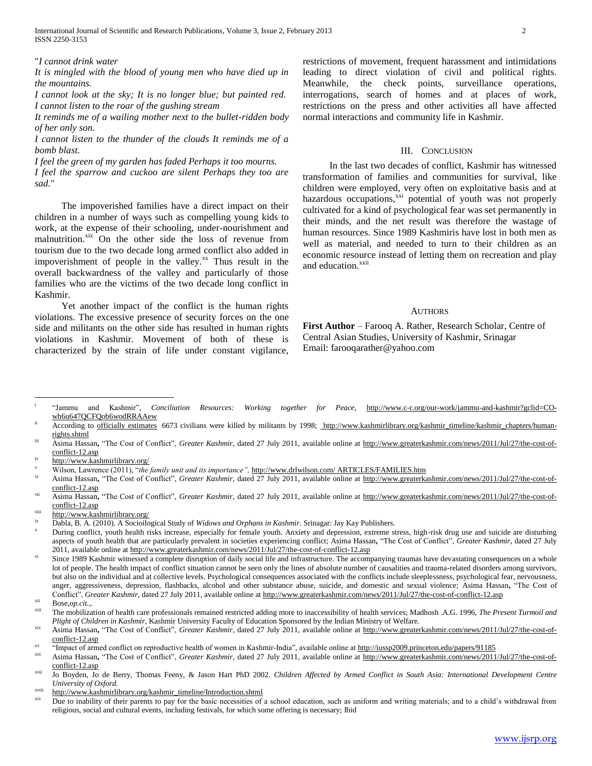International Journal of Scientific and Research Publications, Volume 3, Issue 2, February 2013 2 ISSN 2250-3153

"*I cannot drink water*

*It is mingled with the blood of young men who have died up in the mountains.*

*I cannot look at the sky; It is no longer blue; but painted red. I cannot listen to the roar of the gushing stream*

*It reminds me of a wailing mother next to the bullet-ridden body of her only son.*

*I cannot listen to the thunder of the clouds It reminds me of a bomb blast.*

*I feel the green of my garden has faded Perhaps it too mourns.*

*I feel the sparrow and cuckoo are silent Perhaps they too are sad.*"

 The impoverished families have a direct impact on their children in a number of ways such as compelling young kids to work, at the expense of their schooling, under-nourishment and malnutrition.<sup>xix</sup> On the other side the loss of revenue from tourism due to the two decade long armed conflict also added in impoverishment of people in the valley. $^{xx}$  Thus result in the overall backwardness of the valley and particularly of those families who are the victims of the two decade long conflict in Kashmir.

 Yet another impact of the conflict is the human rights violations. The excessive presence of security forces on the one side and militants on the other side has resulted in human rights violations in Kashmir. Movement of both of these is characterized by the strain of life under constant vigilance,

restrictions of movement, frequent harassment and intimidations leading to direct violation of civil and political rights. Meanwhile, the check points, surveillance operations, interrogations, search of homes and at places of work, restrictions on the press and other activities all have affected normal interactions and community life in Kashmir.

#### III. CONCLUSION

 In the last two decades of conflict, Kashmir has witnessed transformation of families and communities for survival, like children were employed, very often on exploitative basis and at hazardous occupations,<sup>xxi</sup> potential of youth was not properly cultivated for a kind of psychological fear was set permanently in their minds, and the net result was therefore the wastage of human resources. Since 1989 Kashmiris have lost in both men as well as material, and needed to turn to their children as an economic resource instead of letting them on recreation and play and education.<sup>xxii</sup>

#### **AUTHORS**

**First Author** – Farooq A. Rather, Research Scholar, Centre of Central Asian Studies, University of Kashmir, Srinagar Email: farooqarather@yahoo.com

i "Jammu and Kashmir", *Conciliation Resources: Working together for Peace*, [http://www.c-r.org/our-work/jammu-and-kashmir?gclid=CO](http://www.c-r.org/our-work/jammu-and-kashmir?gclid=CO-wh6u647QCFQob6wodRRAAew)[wh6u647QCFQob6wodRRAAew](http://www.c-r.org/our-work/jammu-and-kashmir?gclid=CO-wh6u647QCFQob6wodRRAAew)

- iii Asima Hassan, "The Cost of Conflict", *Greater Kashmir*, dated 27 July 2011, available online at [http://www.greaterkashmir.com/news/2011/Jul/27/the-cost-of](http://www.greaterkashmir.com/news/2011/Jul/27/the-cost-of-conflict-12.asp)[conflict-12.asp](http://www.greaterkashmir.com/news/2011/Jul/27/the-cost-of-conflict-12.asp)
- <http://www.kashmirlibrary.org/>

- vi Asima Hassan**,** "The Cost of Conflict", *Greater Kashmir*, dated 27 July 2011, available online at [http://www.greaterkashmir.com/news/2011/Jul/27/the-cost-of](http://www.greaterkashmir.com/news/2011/Jul/27/the-cost-of-conflict-12.asp)[conflict-12.asp](http://www.greaterkashmir.com/news/2011/Jul/27/the-cost-of-conflict-12.asp)
- Asima Hassan, "The Cost of Conflict", *Greater Kashmir*, dated 27 July 2011, available online at [http://www.greaterkashmir.com/news/2011/Jul/27/the-cost-of](http://www.greaterkashmir.com/news/2011/Jul/27/the-cost-of-conflict-12.asp)[conflict-12.asp](http://www.greaterkashmir.com/news/2011/Jul/27/the-cost-of-conflict-12.asp)
- <http://www.kashmirlibrary.org/>

During conflict, youth health risks increase, especially for female youth. Anxiety and depression, extreme stress, high-risk drug use and suicide are disturbing aspects of youth health that are particularly prevalent in societies experiencing conflict; Asima Hassan**,** "The Cost of Conflict", *Greater Kashmir*, dated 27 July 2011, available online a[t http://www.greaterkashmir.com/news/2011/Jul/27/the-cost-of-conflict-12.asp](http://www.greaterkashmir.com/news/2011/Jul/27/the-cost-of-conflict-12.asp)

 $\overline{a}$ 

xviii [http://www.kashmirlibrary.org/kashmir\\_timeline/Introduction.shtml](http://www.kashmirlibrary.org/kashmir_timeline/Introduction.shtml)

According to [officially estimates](http://www.kashmirlibrary.org/kashmir_timeline/kashmir_references.htm#fn51) 6673 civilians were killed by militants by 1998; [http://www.kashmirlibrary.org/kashmir\\_timeline/kashmir\\_chapters/human](http://www.kashmirlibrary.org/kashmir_timeline/kashmir_chapters/human-rights.shtml)[rights.shtml](http://www.kashmirlibrary.org/kashmir_timeline/kashmir_chapters/human-rights.shtml)

<sup>v</sup> Wilson, Lawrence (2011), "*the family unit and its importance",* [http://www.drlwilson.com/ ARTICLES/FAMILIES.htm](http://www.drlwilson.com/%20ARTICLES/FAMILIES.htm)

Dabla, B. A. (2010). A Socioilogical Study of *Widows and Orphans in Kashmir*. Srinagar: Jay Kay Publishers.

Since 1989 Kashmir witnessed a complete disruption of daily social life and infrastructure. The accompanying traumas have devastating consequences on a whole lot of people. The health impact of conflict situation cannot be seen only the lines of absolute number of causalities and trauma-related disorders among survivors, but also on the individual and at collective levels. Psychological consequences associated with the conflicts include sleeplessness, psychological fear, nervousness, anger, aggressiveness, depression, flashbacks, alcohol and other substance abuse, suicide, and domestic and sexual violence; Asima Hassan**,** "The Cost of Conflict", *Greater Kashmir*, dated 27 July 2011, available online at<http://www.greaterkashmir.com/news/2011/Jul/27/the-cost-of-conflict-12.asp>

Bose,*op.cit...* 

The mobilization of health care professionals remained restricted adding more to inaccessibility of health services; Madhosh .A.G. 1996, *The Present Turmoil and Plight of Children in Kashmir*, Kashmir University Faculty of Education Sponsored by the Indian Ministry of Welfare.

Asima Hassan, "The Cost of Conflict", Greater Kashmir, dated 27 July 2011, available online at [http://www.greaterkashmir.com/news/2011/Jul/27/the-cost-of](http://www.greaterkashmir.com/news/2011/Jul/27/the-cost-of-conflict-12.asp)[conflict-12.asp](http://www.greaterkashmir.com/news/2011/Jul/27/the-cost-of-conflict-12.asp)

<sup>&</sup>lt;sup>xv</sup> "Impact of armed conflict on reproductive health of women in Kashmir-India", available online at http://jussp2009.princeton.edu/papers/91185

Asima Hassan, "The Cost of Conflict", Greater Kashmir, dated 27 July 2011, available online at [http://www.greaterkashmir.com/news/2011/Jul/27/the-cost-of](http://www.greaterkashmir.com/news/2011/Jul/27/the-cost-of-conflict-12.asp)[conflict-12.asp](http://www.greaterkashmir.com/news/2011/Jul/27/the-cost-of-conflict-12.asp)

xvii Jo Boyden, Jo de Berry, Thomas Feeny, & Jason Hart PhD 2002. *Children Affected by Armed Conflict in South Asia: International Development Centre University of Oxford.*

Due to inability of their parents to pay for the basic necessities of a school education, such as uniform and writing materials; and to a child's withdrawal from religious, social and cultural events, including festivals, for which some offering is necessary; Ibid